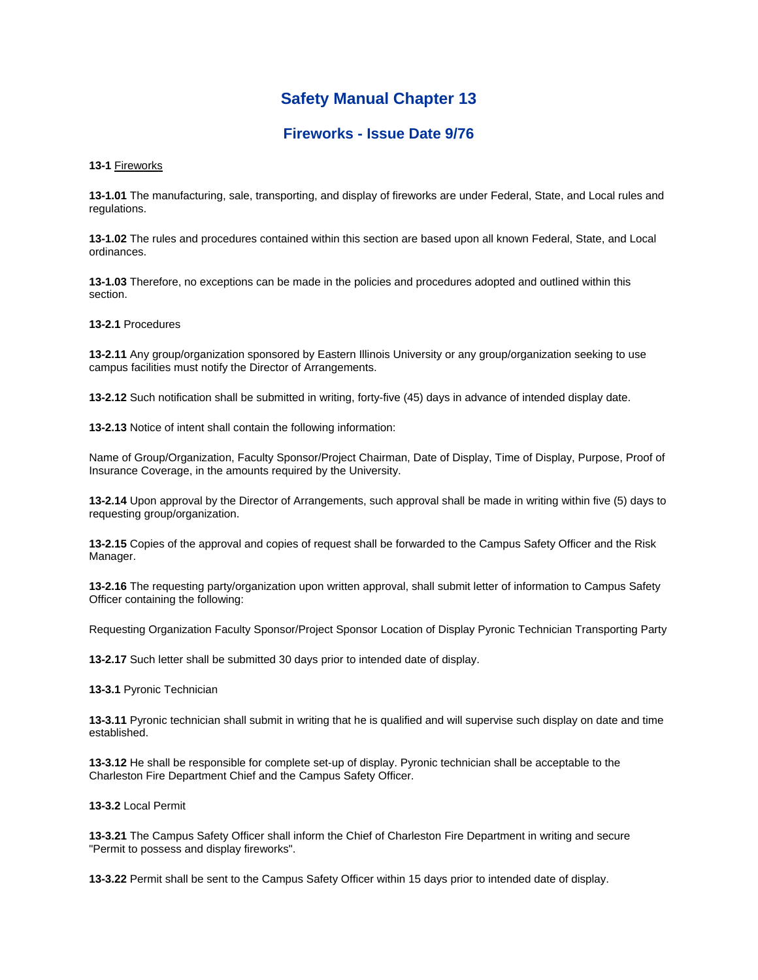## **Safety Manual Chapter 13**

## **Fireworks - Issue Date 9/76**

**13-1** Fireworks

**13-1.01** The manufacturing, sale, transporting, and display of fireworks are under Federal, State, and Local rules and regulations.

**13-1.02** The rules and procedures contained within this section are based upon all known Federal, State, and Local ordinances.

**13-1.03** Therefore, no exceptions can be made in the policies and procedures adopted and outlined within this section.

**13-2.1** Procedures

**13-2.11** Any group/organization sponsored by Eastern Illinois University or any group/organization seeking to use campus facilities must notify the Director of Arrangements.

**13-2.12** Such notification shall be submitted in writing, forty-five (45) days in advance of intended display date.

**13-2.13** Notice of intent shall contain the following information:

Name of Group/Organization, Faculty Sponsor/Project Chairman, Date of Display, Time of Display, Purpose, Proof of Insurance Coverage, in the amounts required by the University.

**13-2.14** Upon approval by the Director of Arrangements, such approval shall be made in writing within five (5) days to requesting group/organization.

**13-2.15** Copies of the approval and copies of request shall be forwarded to the Campus Safety Officer and the Risk Manager.

**13-2.16** The requesting party/organization upon written approval, shall submit letter of information to Campus Safety Officer containing the following:

Requesting Organization Faculty Sponsor/Project Sponsor Location of Display Pyronic Technician Transporting Party

**13-2.17** Such letter shall be submitted 30 days prior to intended date of display.

**13-3.1** Pyronic Technician

**13-3.11** Pyronic technician shall submit in writing that he is qualified and will supervise such display on date and time established.

**13-3.12** He shall be responsible for complete set-up of display. Pyronic technician shall be acceptable to the Charleston Fire Department Chief and the Campus Safety Officer.

**13-3.2** Local Permit

**13-3.21** The Campus Safety Officer shall inform the Chief of Charleston Fire Department in writing and secure "Permit to possess and display fireworks".

**13-3.22** Permit shall be sent to the Campus Safety Officer within 15 days prior to intended date of display.